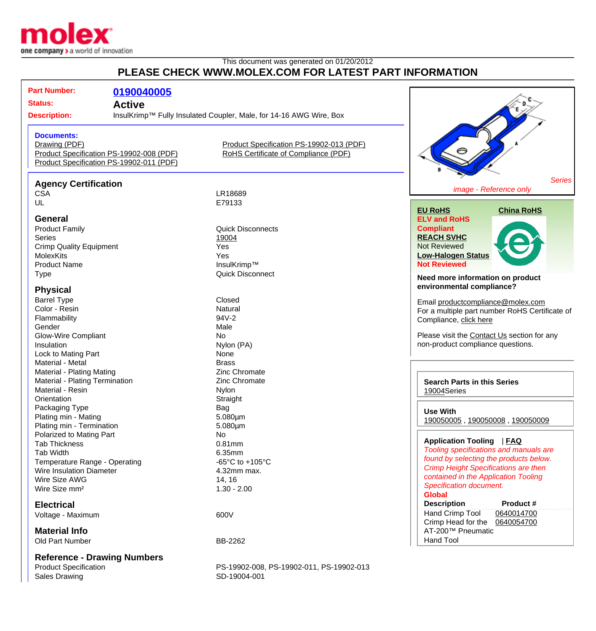

## This document was generated on 01/20/2012 **PLEASE CHECK WWW.MOLEX.COM FOR LATEST PART INFORMATION**

| <b>Part Number:</b>                                                                                                                                                                                                                                                                                                                            | 0190040005                         |                                          |                                                |  |
|------------------------------------------------------------------------------------------------------------------------------------------------------------------------------------------------------------------------------------------------------------------------------------------------------------------------------------------------|------------------------------------|------------------------------------------|------------------------------------------------|--|
| <b>Status:</b><br><b>Active</b><br><b>Description:</b><br>InsulKrimp™ Fully Insulated Coupler, Male, for 14-16 AWG Wire, Box<br><b>Documents:</b><br>Product Specification PS-19902-013 (PDF)<br>Drawing (PDF)<br>Product Specification PS-19902-008 (PDF)<br>RoHS Certificate of Compliance (PDF)<br>Product Specification PS-19902-011 (PDF) |                                    |                                          |                                                |  |
|                                                                                                                                                                                                                                                                                                                                                |                                    |                                          |                                                |  |
|                                                                                                                                                                                                                                                                                                                                                |                                    |                                          |                                                |  |
| <b>Agency Certification</b>                                                                                                                                                                                                                                                                                                                    |                                    |                                          | <b>Series</b>                                  |  |
| <b>CSA</b>                                                                                                                                                                                                                                                                                                                                     |                                    | LR18689                                  | image - Reference only                         |  |
| UL                                                                                                                                                                                                                                                                                                                                             |                                    | E79133                                   |                                                |  |
|                                                                                                                                                                                                                                                                                                                                                |                                    |                                          | <b>EU RoHS</b><br><b>China RoHS</b>            |  |
| <b>General</b>                                                                                                                                                                                                                                                                                                                                 |                                    |                                          | <b>ELV and RoHS</b>                            |  |
| <b>Product Family</b>                                                                                                                                                                                                                                                                                                                          |                                    | <b>Quick Disconnects</b>                 | <b>Compliant</b>                               |  |
| <b>Series</b>                                                                                                                                                                                                                                                                                                                                  |                                    | 19004                                    | <b>REACH SVHC</b>                              |  |
| <b>Crimp Quality Equipment</b>                                                                                                                                                                                                                                                                                                                 |                                    | Yes                                      | <b>Not Reviewed</b>                            |  |
| <b>MolexKits</b>                                                                                                                                                                                                                                                                                                                               |                                    | Yes                                      | <b>Low-Halogen Status</b>                      |  |
| <b>Product Name</b>                                                                                                                                                                                                                                                                                                                            |                                    | InsulKrimp™                              | <b>Not Reviewed</b>                            |  |
| <b>Type</b>                                                                                                                                                                                                                                                                                                                                    |                                    | <b>Quick Disconnect</b>                  |                                                |  |
|                                                                                                                                                                                                                                                                                                                                                |                                    |                                          | Need more information on product               |  |
| <b>Physical</b>                                                                                                                                                                                                                                                                                                                                |                                    |                                          | environmental compliance?                      |  |
| <b>Barrel Type</b><br>Closed                                                                                                                                                                                                                                                                                                                   |                                    |                                          |                                                |  |
| Color - Resin                                                                                                                                                                                                                                                                                                                                  |                                    | Natural                                  | Email productcompliance@molex.com              |  |
| Flammability                                                                                                                                                                                                                                                                                                                                   |                                    | 94V-2                                    | For a multiple part number RoHS Certificate of |  |
| Gender                                                                                                                                                                                                                                                                                                                                         |                                    | Male                                     | Compliance, click here                         |  |
| <b>Glow-Wire Compliant</b>                                                                                                                                                                                                                                                                                                                     |                                    | No                                       | Please visit the Contact Us section for any    |  |
| Insulation                                                                                                                                                                                                                                                                                                                                     |                                    | Nylon (PA)                               | non-product compliance questions.              |  |
| Lock to Mating Part                                                                                                                                                                                                                                                                                                                            |                                    | None                                     |                                                |  |
| Material - Metal                                                                                                                                                                                                                                                                                                                               |                                    | <b>Brass</b>                             |                                                |  |
| Material - Plating Mating                                                                                                                                                                                                                                                                                                                      |                                    | Zinc Chromate                            |                                                |  |
| Material - Plating Termination                                                                                                                                                                                                                                                                                                                 |                                    | Zinc Chromate                            | <b>Search Parts in this Series</b>             |  |
| Material - Resin                                                                                                                                                                                                                                                                                                                               |                                    | Nylon                                    | 19004Series                                    |  |
| Orientation                                                                                                                                                                                                                                                                                                                                    |                                    | Straight                                 |                                                |  |
| Packaging Type                                                                                                                                                                                                                                                                                                                                 |                                    | Bag                                      |                                                |  |
| Plating min - Mating                                                                                                                                                                                                                                                                                                                           |                                    | 5.080µm                                  | <b>Use With</b>                                |  |
| Plating min - Termination                                                                                                                                                                                                                                                                                                                      |                                    | 5.080µm                                  | 190050005, 190050008, 190050009                |  |
| Polarized to Mating Part                                                                                                                                                                                                                                                                                                                       |                                    | <b>No</b>                                |                                                |  |
| <b>Tab Thickness</b>                                                                                                                                                                                                                                                                                                                           |                                    | $0.81$ mm                                | Application Tooling   FAQ                      |  |
| <b>Tab Width</b>                                                                                                                                                                                                                                                                                                                               |                                    | 6.35mm                                   | Tooling specifications and manuals are         |  |
| Temperature Range - Operating                                                                                                                                                                                                                                                                                                                  |                                    | -65 $^{\circ}$ C to +105 $^{\circ}$ C    | found by selecting the products below.         |  |
| <b>Wire Insulation Diameter</b>                                                                                                                                                                                                                                                                                                                |                                    | 4.32mm max.                              | <b>Crimp Height Specifications are then</b>    |  |
| Wire Size AWG                                                                                                                                                                                                                                                                                                                                  |                                    | 14, 16                                   | contained in the Application Tooling           |  |
| Wire Size mm <sup>2</sup>                                                                                                                                                                                                                                                                                                                      |                                    | $1.30 - 2.00$                            | <b>Specification document.</b>                 |  |
|                                                                                                                                                                                                                                                                                                                                                |                                    |                                          | <b>Global</b>                                  |  |
| <b>Electrical</b>                                                                                                                                                                                                                                                                                                                              |                                    |                                          | <b>Description</b><br>Product #                |  |
| Voltage - Maximum                                                                                                                                                                                                                                                                                                                              |                                    | 600V                                     | Hand Crimp Tool<br>0640014700                  |  |
|                                                                                                                                                                                                                                                                                                                                                |                                    |                                          | Crimp Head for the<br>0640054700               |  |
| <b>Material Info</b>                                                                                                                                                                                                                                                                                                                           |                                    |                                          | AT-200™ Pneumatic                              |  |
| Old Part Number                                                                                                                                                                                                                                                                                                                                |                                    | BB-2262                                  | <b>Hand Tool</b>                               |  |
|                                                                                                                                                                                                                                                                                                                                                |                                    |                                          |                                                |  |
|                                                                                                                                                                                                                                                                                                                                                | <b>Reference - Drawing Numbers</b> |                                          |                                                |  |
| <b>Product Specification</b>                                                                                                                                                                                                                                                                                                                   |                                    | PS-19902-008, PS-19902-011, PS-19902-013 |                                                |  |
| <b>Sales Drawing</b>                                                                                                                                                                                                                                                                                                                           |                                    | SD-19004-001                             |                                                |  |